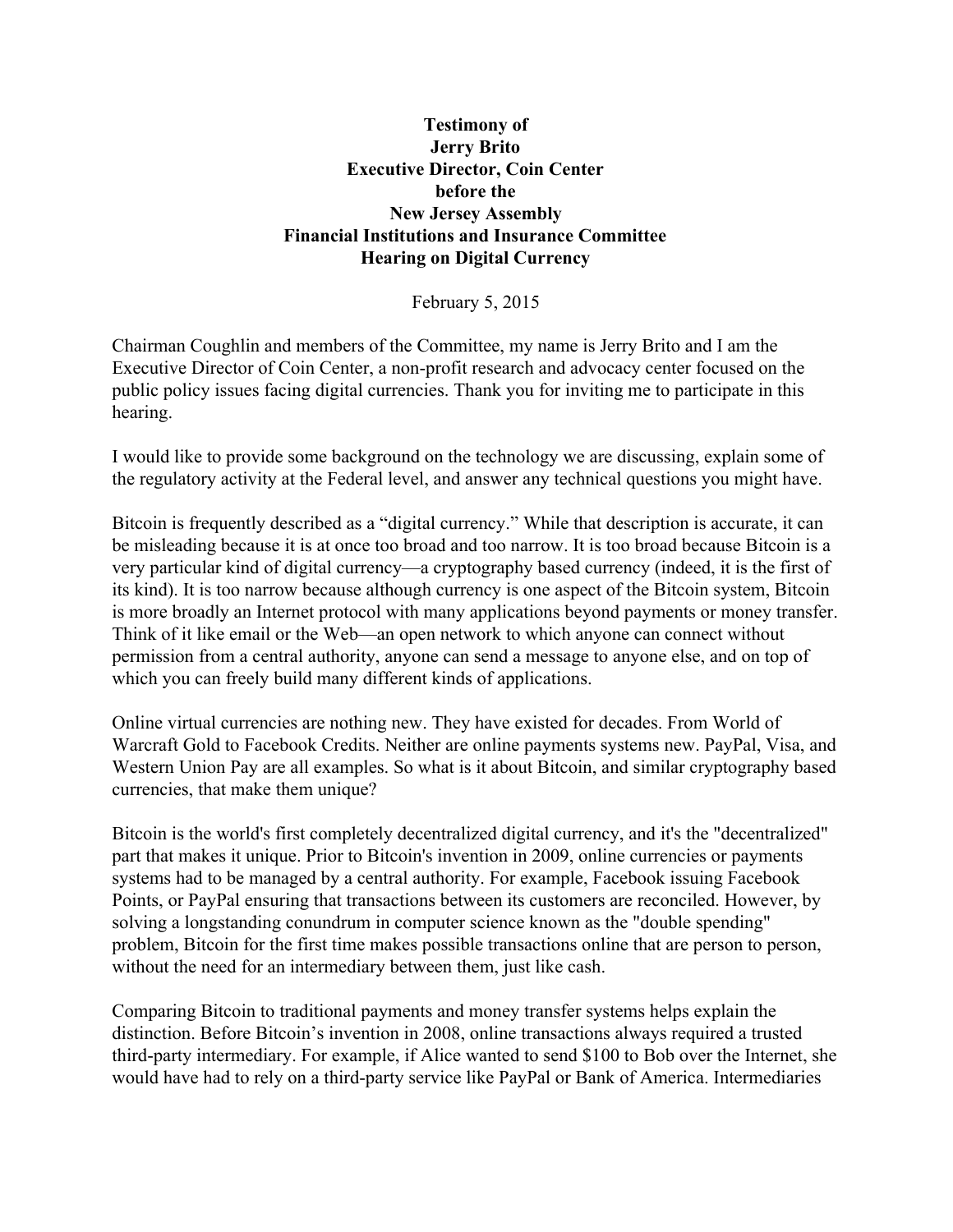#### **Testimony of Jerry Brito Executive Director, Coin Center before the New Jersey Assembly Financial Institutions and Insurance Committee Hearing on Digital Currency**

February 5, 2015

Chairman Coughlin and members of the Committee, my name is Jerry Brito and I am the Executive Director of Coin Center, a non-profit research and advocacy center focused on the public policy issues facing digital currencies. Thank you for inviting me to participate in this hearing.

I would like to provide some background on the technology we are discussing, explain some of the regulatory activity at the Federal level, and answer any technical questions you might have.

Bitcoin is frequently described as a "digital currency." While that description is accurate, it can be misleading because it is at once too broad and too narrow. It is too broad because Bitcoin is a very particular kind of digital currency—a cryptography based currency (indeed, it is the first of its kind). It is too narrow because although currency is one aspect of the Bitcoin system, Bitcoin is more broadly an Internet protocol with many applications beyond payments or money transfer. Think of it like email or the Web—an open network to which anyone can connect without permission from a central authority, anyone can send a message to anyone else, and on top of which you can freely build many different kinds of applications.

Online virtual currencies are nothing new. They have existed for decades. From World of Warcraft Gold to Facebook Credits. Neither are online payments systems new. PayPal, Visa, and Western Union Pay are all examples. So what is it about Bitcoin, and similar cryptography based currencies, that make them unique?

Bitcoin is the world's first completely decentralized digital currency, and it's the "decentralized" part that makes it unique. Prior to Bitcoin's invention in 2009, online currencies or payments systems had to be managed by a central authority. For example, Facebook issuing Facebook Points, or PayPal ensuring that transactions between its customers are reconciled. However, by solving a longstanding conundrum in computer science known as the "double spending" problem, Bitcoin for the first time makes possible transactions online that are person to person, without the need for an intermediary between them, just like cash.

Comparing Bitcoin to traditional payments and money transfer systems helps explain the distinction. Before Bitcoin's invention in 2008, online transactions always required a trusted third-party intermediary. For example, if Alice wanted to send \$100 to Bob over the Internet, she would have had to rely on a third-party service like PayPal or Bank of America. Intermediaries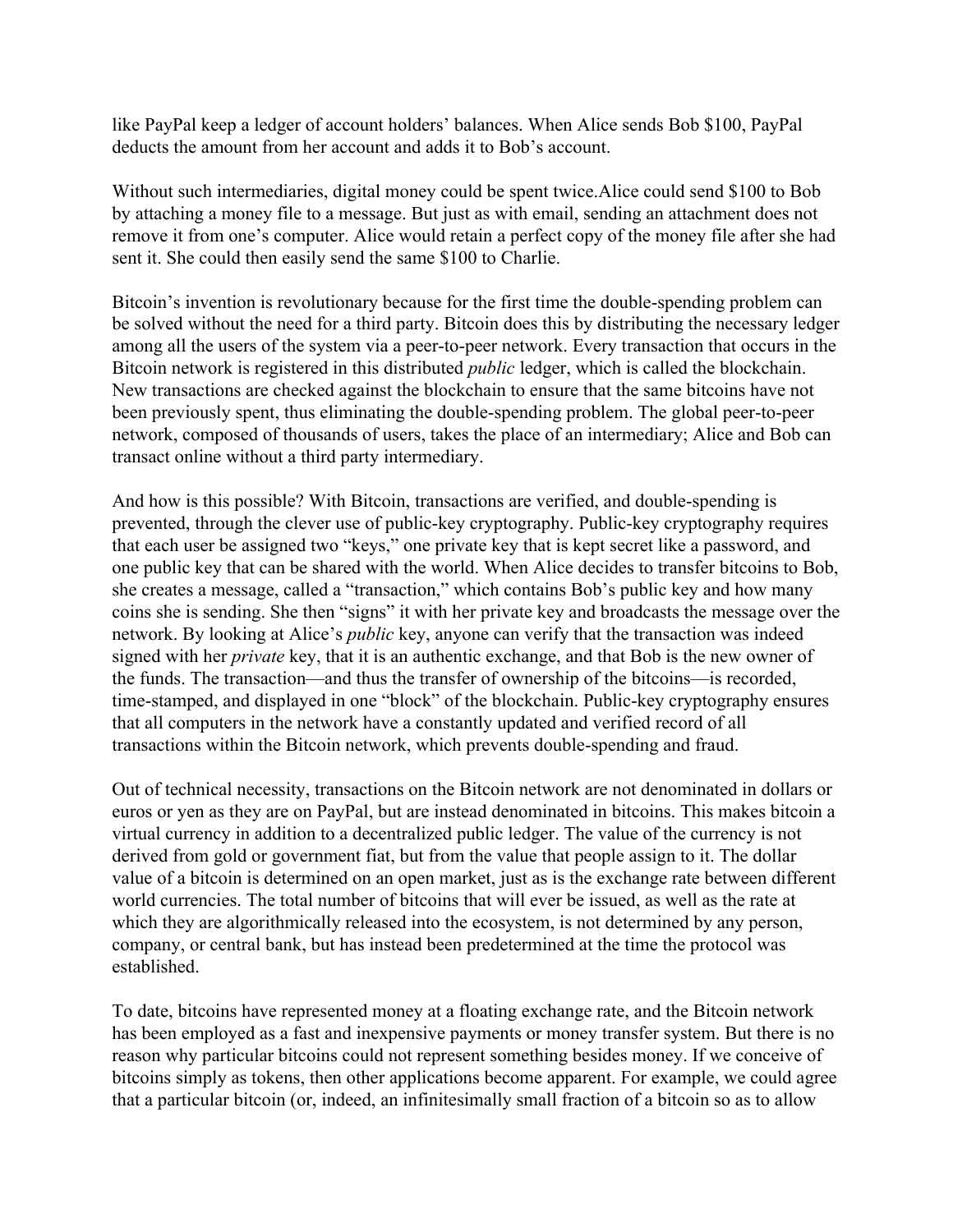like PayPal keep a ledger of account holders' balances. When Alice sends Bob \$100, PayPal deducts the amount from her account and adds it to Bob's account.

Without such intermediaries, digital money could be spent twice.Alice could send \$100 to Bob by attaching a money file to a message. But just as with email, sending an attachment does not remove it from one's computer. Alice would retain a perfect copy of the money file after she had sent it. She could then easily send the same \$100 to Charlie.

Bitcoin's invention is revolutionary because for the first time the double-spending problem can be solved without the need for a third party. Bitcoin does this by distributing the necessary ledger among all the users of the system via a peer-to-peer network. Every transaction that occurs in the Bitcoin network is registered in this distributed *public* ledger, which is called the blockchain. New transactions are checked against the blockchain to ensure that the same bitcoins have not been previously spent, thus eliminating the double-spending problem. The global peer-to-peer network, composed of thousands of users, takes the place of an intermediary; Alice and Bob can transact online without a third party intermediary.

And how is this possible? With Bitcoin, transactions are verified, and double-spending is prevented, through the clever use of public-key cryptography. Public-key cryptography requires that each user be assigned two "keys," one private key that is kept secret like a password, and one public key that can be shared with the world. When Alice decides to transfer bitcoins to Bob, she creates a message, called a "transaction," which contains Bob's public key and how many coins she is sending. She then "signs" it with her private key and broadcasts the message over the network. By looking at Alice's *public* key, anyone can verify that the transaction was indeed signed with her *private* key, that it is an authentic exchange, and that Bob is the new owner of the funds. The transaction—and thus the transfer of ownership of the bitcoins—is recorded, time-stamped, and displayed in one "block" of the blockchain. Public-key cryptography ensures that all computers in the network have a constantly updated and verified record of all transactions within the Bitcoin network, which prevents double-spending and fraud.

Out of technical necessity, transactions on the Bitcoin network are not denominated in dollars or euros or yen as they are on PayPal, but are instead denominated in bitcoins. This makes bitcoin a virtual currency in addition to a decentralized public ledger. The value of the currency is not derived from gold or government fiat, but from the value that people assign to it. The dollar value of a bitcoin is determined on an open market, just as is the exchange rate between different world currencies. The total number of bitcoins that will ever be issued, as well as the rate at which they are algorithmically released into the ecosystem, is not determined by any person, company, or central bank, but has instead been predetermined at the time the protocol was established.

To date, bitcoins have represented money at a floating exchange rate, and the Bitcoin network has been employed as a fast and inexpensive payments or money transfer system. But there is no reason why particular bitcoins could not represent something besides money. If we conceive of bitcoins simply as tokens, then other applications become apparent. For example, we could agree that a particular bitcoin (or, indeed, an infinitesimally small fraction of a bitcoin so as to allow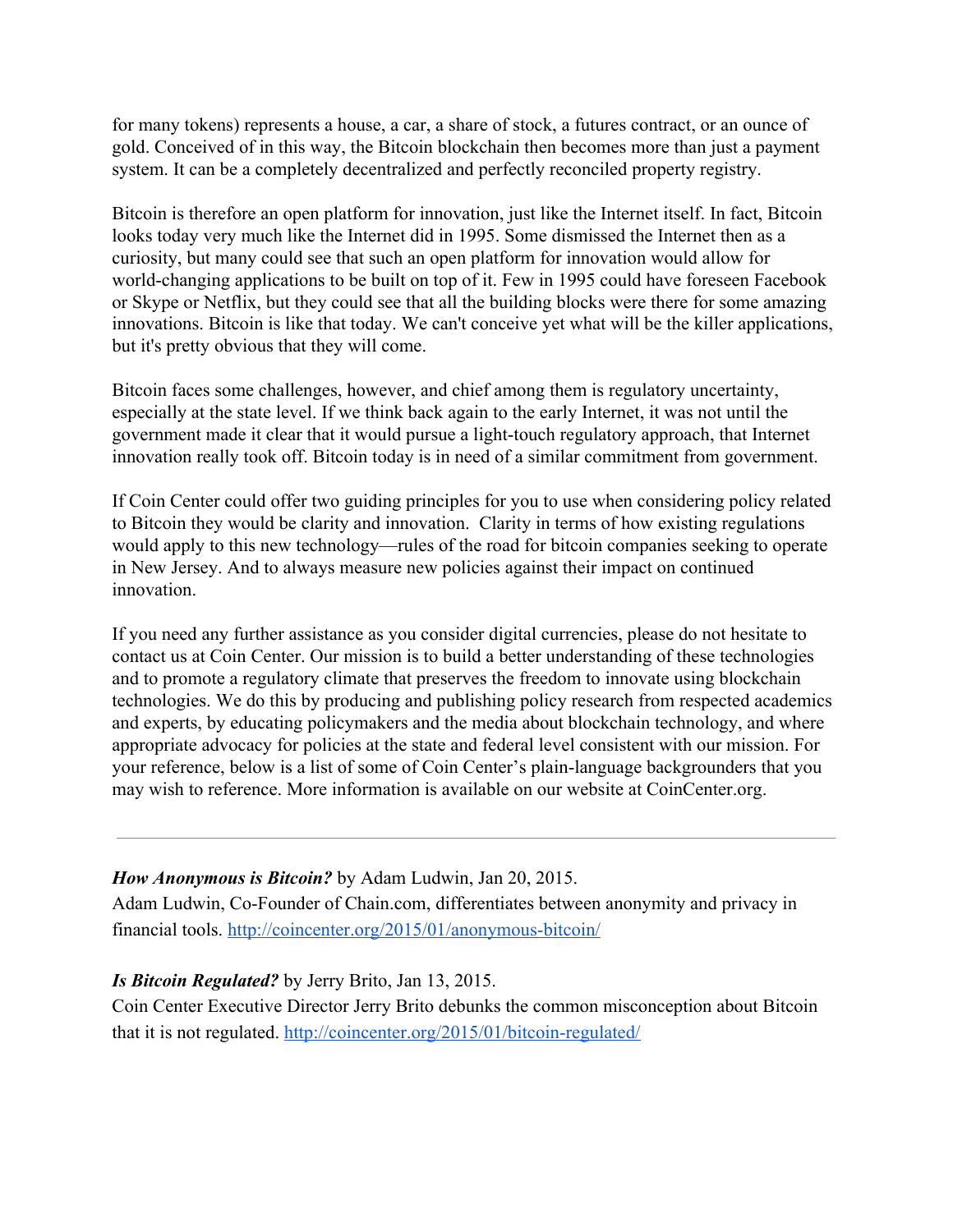for many tokens) represents a house, a car, a share of stock, a futures contract, or an ounce of gold. Conceived of in this way, the Bitcoin blockchain then becomes more than just a payment system. It can be a completely decentralized and perfectly reconciled property registry.

Bitcoin is therefore an open platform for innovation, just like the Internet itself. In fact, Bitcoin looks today very much like the Internet did in 1995. Some dismissed the Internet then as a curiosity, but many could see that such an open platform for innovation would allow for world-changing applications to be built on top of it. Few in 1995 could have foreseen Facebook or Skype or Netflix, but they could see that all the building blocks were there for some amazing innovations. Bitcoin is like that today. We can't conceive yet what will be the killer applications, but it's pretty obvious that they will come.

Bitcoin faces some challenges, however, and chief among them is regulatory uncertainty, especially at the state level. If we think back again to the early Internet, it was not until the government made it clear that it would pursue a light-touch regulatory approach, that Internet innovation really took off. Bitcoin today is in need of a similar commitment from government.

If Coin Center could offer two guiding principles for you to use when considering policy related to Bitcoin they would be clarity and innovation. Clarity in terms of how existing regulations would apply to this new technology—rules of the road for bitcoin companies seeking to operate in New Jersey. And to always measure new policies against their impact on continued innovation.

If you need any further assistance as you consider digital currencies, please do not hesitate to contact us at Coin Center. Our mission is to build a better understanding of these technologies and to promote a regulatory climate that preserves the freedom to innovate using blockchain technologies. We do this by producing and publishing policy research from respected academics and experts, by educating policymakers and the media about blockchain technology, and where appropriate advocacy for policies at the state and federal level consistent with our mission. For your reference, below is a list of some of Coin Center's plain-language backgrounders that you may wish to reference. More information is available on our website at CoinCenter.org.

#### *How Anonymous is Bitcoin?*by Adam Ludwin, Jan 20, 2015.

Adam Ludwin, Co-Founder of Chain.com, differentiates between anonymity and privacy in financial tools. http://coincenter.org/2015/01/anonymous-bitcoin/

#### *Is Bitcoin Regulated?*by Jerry Brito, Jan 13, 2015.

Coin Center Executive Director Jerry Brito debunks the common misconception about Bitcoin that it is not regulated. http://coincenter.org/2015/01/bitcoin-regulated/